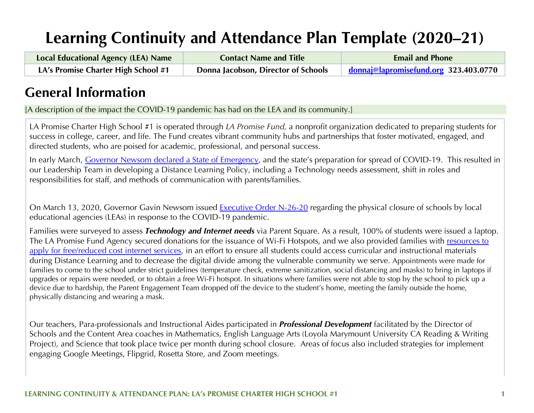# **Learning Continuity and Attendance Plan Template (2020–21)**

| <b>Local Educational Agency (LEA) Name</b> | <b>Contact Name and Title</b>       | <b>Email and Phone</b>                |
|--------------------------------------------|-------------------------------------|---------------------------------------|
| LA's Promise Charter High School #1        | Donna Jacobson, Director of Schools | donnaj@lapromisefund.org 323.403.0770 |

## **General Information**

[A description of the impact the COVID-19 pandemic has had on the LEA and its community.]

LA Promise Charter High School #1 is operated through *LA Promise Fund,* a nonprofit organization dedicated to preparing students for success in college, career, and life. The Fund creates vibrant community hubs and partnerships that foster motivated, engaged, and directed students, who are poised for academic, professional, and personal success.

In early March, Governor Newsom declared a State of Emergency, and the state's preparation for spread of COVID-19. This resulted in our Leadership Team in developing a Distance Learning Policy, including a Technology needs assessment, shift in roles and responsibilities for staff, and methods of communication with parents/families.

On March 13, 2020, Governor Gavin Newsom issued Executive Order N-26-20 regarding the physical closure of schools by local educational agencies (LEAs) in response to the COVID-19 pandemic.

Families were surveyed to assess *Technology and Internet needs* via Parent Square. As a result, 100% of students were issued a laptop. The LA Promise Fund Agency secured donations for the issuance of Wi-Fi Hotspots, and we also provided families with resources to apply for free/reduced cost internet services, in an effort to ensure all students could access curricular and instructional materials during Distance Learning and to decrease the digital divide among the vulnerable community we serve. Appointments were made for families to come to the school under strict guidelines (temperature check, extreme sanitization, social distancing and masks) to bring in laptops if upgrades or repairs were needed, or to obtain a free Wi-Fi hotspot. In situations where families were not able to stop by the school to pick up a device due to hardship, the Parent Engagement Team dropped off the device to the student's home, meeting the family outside the home, physically distancing and wearing a mask.

Our teachers, Para-professionals and Instructional Aides participated in *Professional Development* facilitated by the Director of Schools and the Content Area coaches in Mathematics, English Language Arts (Loyola Marymount University CA Reading & Writing Project), and Science that took place twice per month during school closure. Areas of focus also included strategies for implement engaging Google Meetings, Flipgrid, Rosetta Store, and Zoom meetings.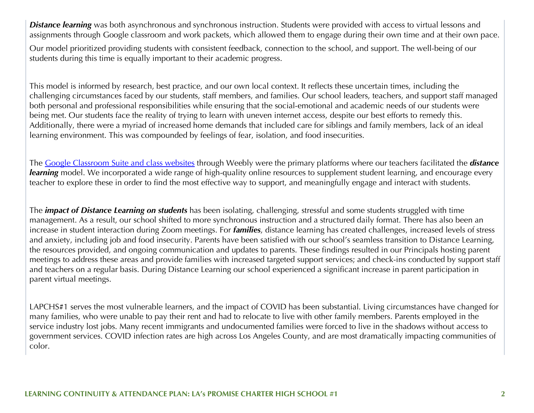**Distance learning** was both asynchronous and synchronous instruction. Students were provided with access to virtual lessons and assignments through Google classroom and work packets, which allowed them to engage during their own time and at their own pace.

Our model prioritized providing students with consistent feedback, connection to the school, and support. The well-being of our students during this time is equally important to their academic progress.

This model is informed by research, best practice, and our own local context. It reflects these uncertain times, including the challenging circumstances faced by our students, staff members, and families. Our school leaders, teachers, and support staff managed both personal and professional responsibilities while ensuring that the social-emotional and academic needs of our students were being met. Our students face the reality of trying to learn with uneven internet access, despite our best efforts to remedy this. Additionally, there were a myriad of increased home demands that included care for siblings and family members, lack of an ideal learning environment. This was compounded by feelings of fear, isolation, and food insecurities.

The Google Classroom Suite and class websites through Weebly were the primary platforms where our teachers facilitated the *distance learning* model. We incorporated a wide range of high-quality online resources to supplement student learning, and encourage every teacher to explore these in order to find the most effective way to support, and meaningfully engage and interact with students.

The *impact of Distance Learning on students* has been isolating, challenging, stressful and some students struggled with time management. As a result, our school shifted to more synchronous instruction and a structured daily format. There has also been an increase in student interaction during Zoom meetings. For *families*, distance learning has created challenges, increased levels of stress and anxiety, including job and food insecurity. Parents have been satisfied with our school's seamless transition to Distance Learning, the resources provided, and ongoing communication and updates to parents. These findings resulted in our Principals hosting parent meetings to address these areas and provide families with increased targeted support services; and check-ins conducted by support staff and teachers on a regular basis. During Distance Learning our school experienced a significant increase in parent participation in parent virtual meetings.

LAPCHS#1 serves the most vulnerable learners, and the impact of COVID has been substantial. Living circumstances have changed for many families, who were unable to pay their rent and had to relocate to live with other family members. Parents employed in the service industry lost jobs. Many recent immigrants and undocumented families were forced to live in the shadows without access to government services. COVID infection rates are high across Los Angeles County, and are most dramatically impacting communities of color.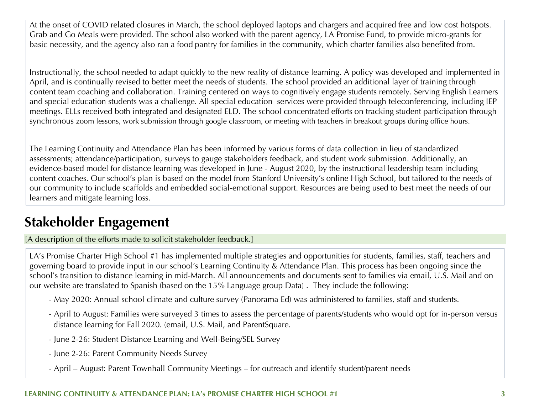At the onset of COVID related closures in March, the school deployed laptops and chargers and acquired free and low cost hotspots. Grab and Go Meals were provided. The school also worked with the parent agency, LA Promise Fund, to provide micro-grants for basic necessity, and the agency also ran a food pantry for families in the community, which charter families also benefited from.

Instructionally, the school needed to adapt quickly to the new reality of distance learning. A policy was developed and implemented in April, and is continually revised to better meet the needs of students. The school provided an additional layer of training through content team coaching and collaboration. Training centered on ways to cognitively engage students remotely. Serving English Learners and special education students was a challenge. All special education services were provided through teleconferencing, including IEP meetings. ELLs received both integrated and designated ELD. The school concentrated efforts on tracking student participation through synchronous zoom lessons, work submission through google classroom, or meeting with teachers in breakout groups during office hours.

The Learning Continuity and Attendance Plan has been informed by various forms of data collection in lieu of standardized assessments; attendance/participation, surveys to gauge stakeholders feedback, and student work submission. Additionally, an evidence-based model for distance learning was developed in June - August 2020, by the instructional leadership team including content coaches. Our school's plan is based on the model from Stanford University's online High School, but tailored to the needs of our community to include scaffolds and embedded social-emotional support. Resources are being used to best meet the needs of our learners and mitigate learning loss.

## **Stakeholder Engagement**

[A description of the efforts made to solicit stakeholder feedback.]

LA's Promise Charter High School #1 has implemented multiple strategies and opportunities for students, families, staff, teachers and governing board to provide input in our school's Learning Continuity & Attendance Plan. This process has been ongoing since the school's transition to distance learning in mid-March. All announcements and documents sent to families via email, U.S. Mail and on our website are translated to Spanish (based on the 15% Language group Data) . They include the following:

- May 2020: Annual school climate and culture survey (Panorama Ed) was administered to families, staff and students.
- April to August: Families were surveyed 3 times to assess the percentage of parents/students who would opt for in-person versus distance learning for Fall 2020. (email, U.S. Mail, and ParentSquare.
- June 2-26: Student Distance Learning and Well-Being/SEL Survey
- June 2-26: Parent Community Needs Survey
- April August: Parent Townhall Community Meetings for outreach and identify student/parent needs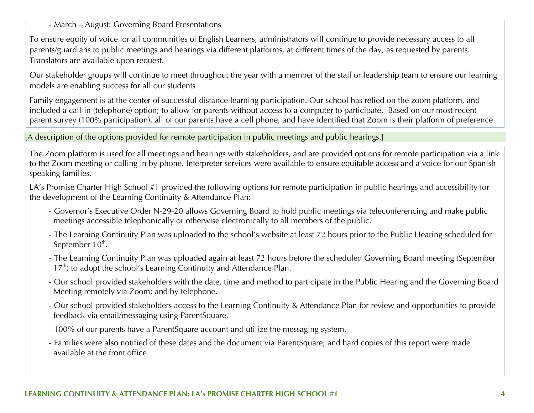- March – August: Governing Board Presentations

To ensure equity of voice for all communities of English Learners, administrators will continue to provide necessary access to all parents/guardians to public meetings and hearings via different platforms, at different times of the day, as requested by parents. Translators are available upon request.

Our stakeholder groups will continue to meet throughout the year with a member of the staff or leadership team to ensure our learning models are enabling success for all our students

Family engagement is at the center of successful distance learning participation. Our school has relied on the zoom platform, and included a call-in (telephone) option; to allow for parents without access to a computer to participate. Based on our most recent parent survey (100% participation), all of our parents have a cell phone, and have identified that Zoom is their platform of preference.

[A description of the options provided for remote participation in public meetings and public hearings.]

The Zoom platform is used for all meetings and hearings with stakeholders, and are provided options for remote participation via a link to the Zoom meeting or calling in by phone. Interpreter services were available to ensure equitable access and a voice for our Spanish speaking families.

LA's Promise Charter High School #1 provided the following options for remote participation in public hearings and accessibility for the development of the Learning Continuity & Attendance Plan:

- Governor's Executive Order N-29-20 allows Governing Board to hold public meetings via teleconferencing and make public meetings accessible telephonically or otherwise electronically to all members of the public.
- The Learning Continuity Plan was uploaded to the school's website at least 72 hours prior to the Public Hearing scheduled for September 10<sup>th</sup>.
- The Learning Continuity Plan was uploaded again at least 72 hours before the scheduled Governing Board meeting (September  $17<sup>th</sup>$ ) to adopt the school's Learning Continuity and Attendance Plan.
- Our school provided stakeholders with the date, time and method to participate in the Public Hearing and the Governing Board Meeting remotely via Zoom; and by telephone.
- Our school provided stakeholders access to the Learning Continuity & Attendance Plan for review and opportunities to provide feedback via email/messaging using ParentSquare.
- 100% of our parents have a ParentSquare account and utilize the messaging system.
- Families were also notified of these dates and the document via ParentSquare; and hard copies of this report were made available at the front office.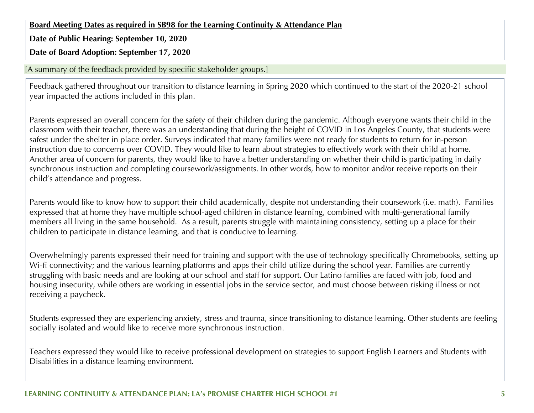**Board Meeting Dates as required in SB98 for the Learning Continuity & Attendance Plan**

**Date of Public Hearing: September 10, 2020**

**Date of Board Adoption: September 17, 2020**

[A summary of the feedback provided by specific stakeholder groups.]

Feedback gathered throughout our transition to distance learning in Spring 2020 which continued to the start of the 2020-21 school year impacted the actions included in this plan.

Parents expressed an overall concern for the safety of their children during the pandemic. Although everyone wants their child in the classroom with their teacher, there was an understanding that during the height of COVID in Los Angeles County, that students were safest under the shelter in place order. Surveys indicated that many families were not ready for students to return for in-person instruction due to concerns over COVID. They would like to learn about strategies to effectively work with their child at home. Another area of concern for parents, they would like to have a better understanding on whether their child is participating in daily synchronous instruction and completing coursework/assignments. In other words, how to monitor and/or receive reports on their child's attendance and progress.

Parents would like to know how to support their child academically, despite not understanding their coursework (i.e. math). Families expressed that at home they have multiple school-aged children in distance learning, combined with multi-generational family members all living in the same household. As a result, parents struggle with maintaining consistency, setting up a place for their children to participate in distance learning, and that is conducive to learning.

Overwhelmingly parents expressed their need for training and support with the use of technology specifically Chromebooks, setting up Wi-fi connectivity; and the various learning platforms and apps their child utilize during the school year. Families are currently struggling with basic needs and are looking at our school and staff for support. Our Latino families are faced with job, food and housing insecurity, while others are working in essential jobs in the service sector, and must choose between risking illness or not receiving a paycheck.

Students expressed they are experiencing anxiety, stress and trauma, since transitioning to distance learning. Other students are feeling socially isolated and would like to receive more synchronous instruction.

Teachers expressed they would like to receive professional development on strategies to support English Learners and Students with Disabilities in a distance learning environment.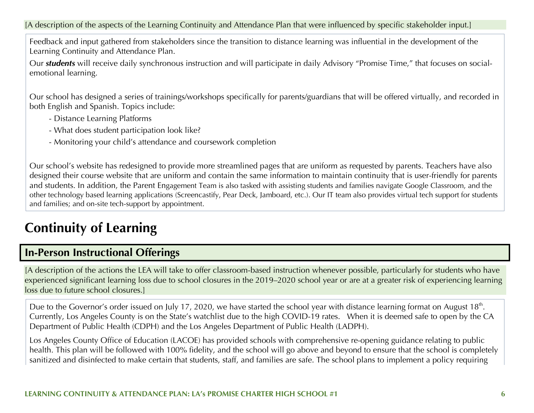[A description of the aspects of the Learning Continuity and Attendance Plan that were influenced by specific stakeholder input.]

Feedback and input gathered from stakeholders since the transition to distance learning was influential in the development of the Learning Continuity and Attendance Plan.

Our *students* will receive daily synchronous instruction and will participate in daily Advisory "Promise Time," that focuses on socialemotional learning.

Our school has designed a series of trainings/workshops specifically for parents/guardians that will be offered virtually, and recorded in both English and Spanish. Topics include:

- Distance Learning Platforms
- What does student participation look like?
- Monitoring your child's attendance and coursework completion

Our school's website has redesigned to provide more streamlined pages that are uniform as requested by parents. Teachers have also designed their course website that are uniform and contain the same information to maintain continuity that is user-friendly for parents and students. In addition, the Parent Engagement Team is also tasked with assisting students and families navigate Google Classroom, and the other technology based learning applications (Screencastify, Pear Deck, Jamboard, etc.). Our IT team also provides virtual tech support for students and families; and on-site tech-support by appointment.

## **Continuity of Learning**

## **In-Person Instructional Offerings**

[A description of the actions the LEA will take to offer classroom-based instruction whenever possible, particularly for students who have experienced significant learning loss due to school closures in the 2019–2020 school year or are at a greater risk of experiencing learning loss due to future school closures.]

Due to the Governor's order issued on July 17, 2020, we have started the school year with distance learning format on August 18<sup>th</sup>. Currently, Los Angeles County is on the State's watchlist due to the high COVID-19 rates. When it is deemed safe to open by the CA Department of Public Health (CDPH) and the Los Angeles Department of Public Health (LADPH).

Los Angeles County Office of Education (LACOE) has provided schools with comprehensive re-opening guidance relating to public health. This plan will be followed with 100% fidelity, and the school will go above and beyond to ensure that the school is completely sanitized and disinfected to make certain that students, staff, and families are safe. The school plans to implement a policy requiring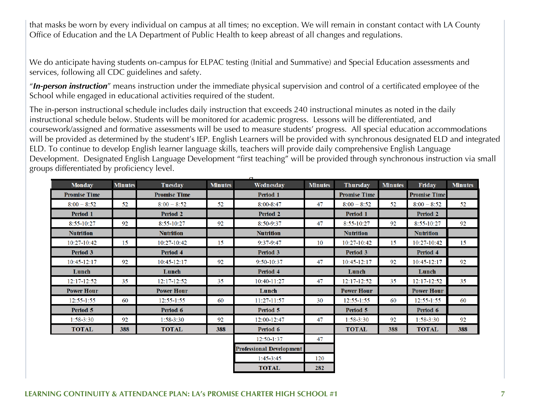that masks be worn by every individual on campus at all times; no exception. We will remain in constant contact with LA County Office of Education and the LA Department of Public Health to keep abreast of all changes and regulations.

We do anticipate having students on-campus for ELPAC testing (Initial and Summative) and Special Education assessments and services, following all CDC guidelines and safety.

"*In-person instruction*" means instruction under the immediate physical supervision and control of a certificated employee of the School while engaged in educational activities required of the student.

The in-person instructional schedule includes daily instruction that exceeds 240 instructional minutes as noted in the daily instructional schedule below. Students will be monitored for academic progress. Lessons will be differentiated, and coursework/assigned and formative assessments will be used to measure students' progress. All special education accommodations will be provided as determined by the student's IEP. English Learners will be provided with synchronous designated ELD and integrated ELD. To continue to develop English learner language skills, teachers will provide daily comprehensive English Language Development. Designated English Language Development "first teaching" will be provided through synchronous instruction via small groups differentiated by proficiency level.

| <b>Monday</b>       | <b>Minutes</b> | Tuesday             | <b>Minutes</b> | Wednesday                       | <b>Minutes</b> | <b>Thursday</b>     | <b>Minutes</b> | Friday              | <b>Minutes</b> |
|---------------------|----------------|---------------------|----------------|---------------------------------|----------------|---------------------|----------------|---------------------|----------------|
| <b>Promise Time</b> |                | <b>Promise Time</b> |                | Period 1                        |                | <b>Promise Time</b> |                | <b>Promise Time</b> |                |
| $8:00 - 8:52$       | 52             | $8:00 - 8:52$       | 52             | $8:00 - 8:47$                   | 47             | $8:00 - 8:52$       | 52             | $8:00 - 8:52$       | 52             |
| Period 1            |                | <b>Period 2</b>     |                | <b>Period 2</b>                 |                | Period 1            |                | <b>Period 2</b>     |                |
| 8:55-10:27          | 92             | 8:55-10:27          | 92             | 8:50-9:37                       | 47             | 8:55-10:27          | 92             | 8:55-10:27          | 92             |
| <b>Nutrition</b>    |                | <b>Nutrition</b>    |                | <b>Nutrition</b>                |                | <b>Nutrition</b>    |                | <b>Nutrition</b>    |                |
| 10:27-10:42         | 15             | 10:27-10:42         | 15             | $9:37-9:47$                     | 10             | 10:27-10:42         | 15             | 10:27-10:42         | 15             |
| Period 3            |                | Period 4            |                | <b>Period 3</b>                 |                | Period 3            |                | Period 4            |                |
| 10:45-12:17         | 92             | 10:45-12:17         | 92             | 9:50-10:37                      | 47             | 10:45-12:17         | 92             | 10:45-12:17         | 92             |
| Lunch               |                | Lunch               |                | Period 4                        |                | Lunch               |                | Lunch               |                |
| $12:17 - 12:52$     | 35             | $12:17 - 12:52$     | 35             | 10:40-11:27                     | 47             | $12:17 - 12:52$     | 35             | $12:17 - 12:52$     | 35             |
| <b>Power Hour</b>   |                | <b>Power Hour</b>   |                | Lunch                           |                | <b>Power Hour</b>   |                | <b>Power Hour</b>   |                |
| $12:55 - 1:55$      | 60             | $12:55 - 1:55$      | 60             | 11:27-11:57                     | 30             | $12:55 - 1:55$      | 60             | $12:55 - 1:55$      | 60             |
| Period 5            |                | Period 6            |                | Period 5                        |                | Period 5            |                | Period 6            |                |
| $1:58-3:30$         | 92             | $1:58-3:30$         | 92             | 12:00-12:47                     | 47             | $1:58-3:30$         | 92             | $1:58-3:30$         | 92             |
| <b>TOTAL</b>        | 388            | <b>TOTAL</b>        | 388            | Period 6                        |                | <b>TOTAL</b>        | 388            | <b>TOTAL</b>        | 388            |
|                     |                |                     |                | 12:50-1:37                      | 47             |                     |                |                     |                |
|                     |                |                     |                | <b>Professional Development</b> |                |                     |                |                     |                |
|                     |                |                     |                | $1:45-3:45$                     | 120            |                     |                |                     |                |
|                     |                |                     |                | <b>TOTAL</b>                    | 282            |                     |                |                     |                |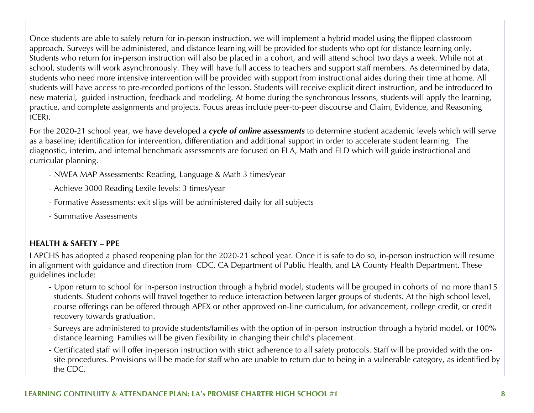Once students are able to safely return for in-person instruction, we will implement a hybrid model using the flipped classroom approach. Surveys will be administered, and distance learning will be provided for students who opt for distance learning only. Students who return for in-person instruction will also be placed in a cohort, and will attend school two days a week. While not at school, students will work asynchronously. They will have full access to teachers and support staff members. As determined by data, students who need more intensive intervention will be provided with support from instructional aides during their time at home. All students will have access to pre-recorded portions of the lesson. Students will receive explicit direct instruction, and be introduced to new material, guided instruction, feedback and modeling. At home during the synchronous lessons, students will apply the learning, practice, and complete assignments and projects. Focus areas include peer-to-peer discourse and Claim, Evidence, and Reasoning (CER).

For the 2020-21 school year, we have developed a *cycle of online assessments* to determine student academic levels which will serve as a baseline; identification for intervention, differentiation and additional support in order to accelerate student learning. The diagnostic, interim, and internal benchmark assessments are focused on ELA, Math and ELD which will guide instructional and curricular planning.

- NWEA MAP Assessments: Reading, Language & Math 3 times/year
- Achieve 3000 Reading Lexile levels: 3 times/year
- Formative Assessments: exit slips will be administered daily for all subjects
- Summative Assessments

### **HEALTH & SAFETY – PPE**

LAPCHS has adopted a phased reopening plan for the 2020-21 school year. Once it is safe to do so, in-person instruction will resume in alignment with guidance and direction from CDC, CA Department of Public Health, and LA County Health Department. These guidelines include:

- Upon return to school for in-person instruction through a hybrid model, students will be grouped in cohorts of no more than15 students. Student cohorts will travel together to reduce interaction between larger groups of students. At the high school level, course offerings can be offered through APEX or other approved on-line curriculum, for advancement, college credit, or credit recovery towards graduation.
- Surveys are administered to provide students/families with the option of in-person instruction through a hybrid model, or 100% distance learning. Families will be given flexibility in changing their child's placement.
- Certificated staff will offer in-person instruction with strict adherence to all safety protocols. Staff will be provided with the on site procedures. Provisions will be made for staff who are unable to return due to being in a vulnerable category, as identified by the CDC.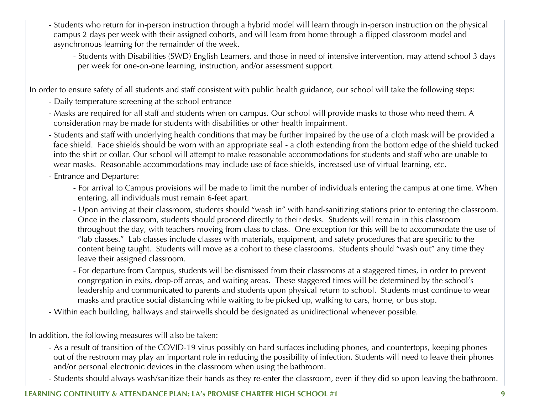- Students who return for in-person instruction through a hybrid model will learn through in-person instruction on the physical campus 2 days per week with their assigned cohorts, and will learn from home through a flipped classroom model and asynchronous learning for the remainder of the week.
	- Students with Disabilities (SWD) English Learners, and those in need of intensive intervention, may attend school 3 days per week for one-on-one learning, instruction, and/or assessment support.

In order to ensure safety of all students and staff consistent with public health guidance, our school will take the following steps:

- Daily temperature screening at the school entrance
- Masks are required for all staff and students when on campus. Our school will provide masks to those who need them. A consideration may be made for students with disabilities or other health impairment.
- Students and staff with underlying health conditions that may be further impaired by the use of a cloth mask will be provided a face shield. Face shields should be worn with an appropriate seal - a cloth extending from the bottom edge of the shield tucked into the shirt or collar. Our school will attempt to make reasonable accommodations for students and staff who are unable to wear masks. Reasonable accommodations may include use of face shields, increased use of virtual learning, etc.
- Entrance and Departure:
	- For arrival to Campus provisions will be made to limit the number of individuals entering the campus at one time. When entering, all individuals must remain 6-feet apart.
	- Upon arriving at their classroom, students should "wash in" with hand-sanitizing stations prior to entering the classroom. Once in the classroom, students should proceed directly to their desks. Students will remain in this classroom throughout the day, with teachers moving from class to class. One exception for this will be to accommodate the use of "lab classes." Lab classes include classes with materials, equipment, and safety procedures that are specific to the content being taught. Students will move as a cohort to these classrooms. Students should "wash out" any time they leave their assigned classroom.
	- For departure from Campus, students will be dismissed from their classrooms at a staggered times, in order to prevent congregation in exits, drop-off areas, and waiting areas. These staggered times will be determined by the school's leadership and communicated to parents and students upon physical return to school. Students must continue to wear masks and practice social distancing while waiting to be picked up, walking to cars, home, or bus stop.
- Within each building, hallways and stairwells should be designated as unidirectional whenever possible.

In addition, the following measures will also be taken:

- As a result of transition of the COVID-19 virus possibly on hard surfaces including phones, and countertops, keeping phones out of the restroom may play an important role in reducing the possibility of infection. Students will need to leave their phones and/or personal electronic devices in the classroom when using the bathroom.
- Students should always wash/sanitize their hands as they re-enter the classroom, even if they did so upon leaving the bathroom.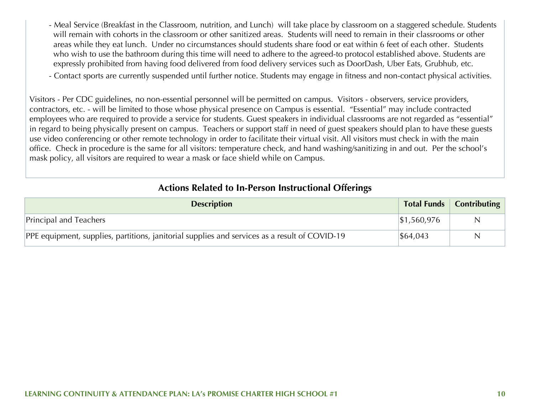- Meal Service (Breakfast in the Classroom, nutrition, and Lunch) will take place by classroom on a staggered schedule. Students will remain with cohorts in the classroom or other sanitized areas. Students will need to remain in their classrooms or other areas while they eat lunch. Under no circumstances should students share food or eat within 6 feet of each other. Students who wish to use the bathroom during this time will need to adhere to the agreed-to protocol established above. Students are expressly prohibited from having food delivered from food delivery services such as DoorDash, Uber Eats, Grubhub, etc.
- Contact sports are currently suspended until further notice. Students may engage in fitness and non-contact physical activities.

Visitors - Per CDC guidelines, no non-essential personnel will be permitted on campus. Visitors - observers, service providers, contractors, etc. - will be limited to those whose physical presence on Campus is essential. "Essential" may include contracted employees who are required to provide a service for students. Guest speakers in individual classrooms are not regarded as "essential" in regard to being physically present on campus. Teachers or support staff in need of guest speakers should plan to have these guests use video conferencing or other remote technology in order to facilitate their virtual visit. All visitors must check in with the main office. Check in procedure is the same for all visitors: temperature check, and hand washing/sanitizing in and out. Per the school's mask policy, all visitors are required to wear a mask or face shield while on Campus.

|  | <b>Actions Related to In-Person Instructional Offerings</b> |  |
|--|-------------------------------------------------------------|--|
|--|-------------------------------------------------------------|--|

| <b>Description</b>                                                                            |                         | Total Funds   Contributing |
|-----------------------------------------------------------------------------------------------|-------------------------|----------------------------|
| <b>Principal and Teachers</b>                                                                 | $\frac{1}{2}$ 1,560,976 |                            |
| PPE equipment, supplies, partitions, janitorial supplies and services as a result of COVID-19 | $\frac{1}{6}64,043$     |                            |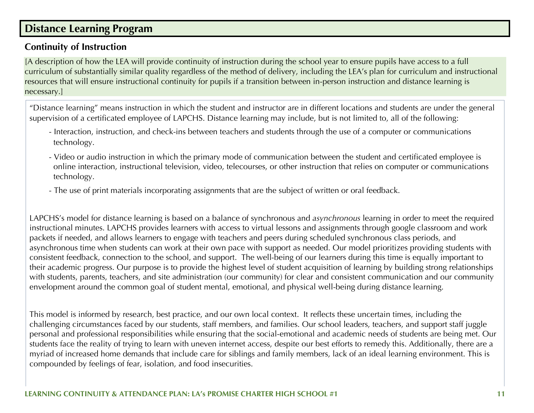## **Distance Learning Program**

### **Continuity of Instruction**

[A description of how the LEA will provide continuity of instruction during the school year to ensure pupils have access to a full curriculum of substantially similar quality regardless of the method of delivery, including the LEA's plan for curriculum and instructional resources that will ensure instructional continuity for pupils if a transition between in-person instruction and distance learning is necessary.]

"Distance learning" means instruction in which the student and instructor are in different locations and students are under the general supervision of a certificated employee of LAPCHS. Distance learning may include, but is not limited to, all of the following:

- Interaction, instruction, and check-ins between teachers and students through the use of a computer or communications technology.
- Video or audio instruction in which the primary mode of communication between the student and certificated employee is online interaction, instructional television, video, telecourses, or other instruction that relies on computer or communications technology.
- The use of print materials incorporating assignments that are the subject of written or oral feedback.

LAPCHS's model for distance learning is based on a balance of synchronous and *asynchronous* learning in order to meet the required instructional minutes. LAPCHS provides learners with access to virtual lessons and assignments through google classroom and work packets if needed, and allows learners to engage with teachers and peers during scheduled synchronous class periods, and asynchronous time when students can work at their own pace with support as needed. Our model prioritizes providing students with consistent feedback, connection to the school, and support. The well-being of our learners during this time is equally important to their academic progress. Our purpose is to provide the highest level of student acquisition of learning by building strong relationships with students, parents, teachers, and site administration (our community) for clear and consistent communication and our community envelopment around the common goal of student mental, emotional, and physical well-being during distance learning.

This model is informed by research, best practice, and our own local context. It reflects these uncertain times, including the challenging circumstances faced by our students, staff members, and families. Our school leaders, teachers, and support staff juggle personal and professional responsibilities while ensuring that the social-emotional and academic needs of students are being met. Our students face the reality of trying to learn with uneven internet access, despite our best efforts to remedy this. Additionally, there are a myriad of increased home demands that include care for siblings and family members, lack of an ideal learning environment. This is compounded by feelings of fear, isolation, and food insecurities.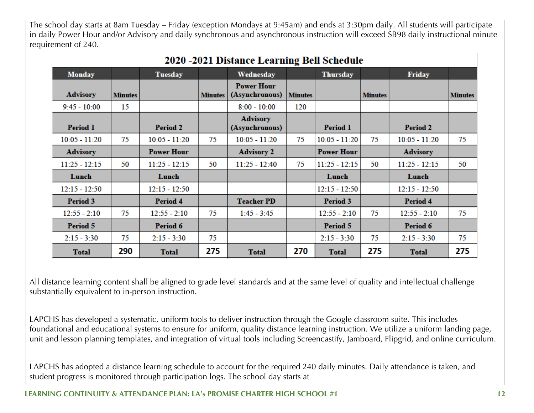The school day starts at 8am Tuesday – Friday (exception Mondays at 9:45am) and ends at 3:30pm daily. All students will participate in daily Power Hour and/or Advisory and daily synchronous and asynchronous instruction will exceed SB98 daily instructional minute requirement of 240.

| 2020 -2021 Distance Leafhing Bell Schedule |                |                   |                |                                     |                |                   |                |                 |                |
|--------------------------------------------|----------------|-------------------|----------------|-------------------------------------|----------------|-------------------|----------------|-----------------|----------------|
| <b>Monday</b>                              |                | <b>Tuesday</b>    |                | Wednesday                           |                | <b>Thursday</b>   |                | <b>Friday</b>   |                |
| <b>Advisory</b>                            | <b>Minutes</b> |                   | <b>Minutes</b> | <b>Power Hour</b><br>(Asynchronous) | <b>Minutes</b> |                   | <b>Minutes</b> |                 | <b>Minutes</b> |
| $9:45 - 10:00$                             | 15             |                   |                | $8:00 - 10:00$                      | 120            |                   |                |                 |                |
| <b>Period 1</b>                            |                | <b>Period 2</b>   |                | <b>Advisory</b><br>(Asynchronous)   |                | <b>Period 1</b>   |                | <b>Period 2</b> |                |
| $10:05 - 11:20$                            | 75             | $10:05 - 11:20$   | 75             | $10:05 - 11:20$                     | 75             | $10:05 - 11:20$   | 75             | $10:05 - 11:20$ | 75             |
| <b>Advisory</b>                            |                | <b>Power Hour</b> |                | <b>Advisory 2</b>                   |                | <b>Power Hour</b> |                | <b>Advisory</b> |                |
| $11:25 - 12:15$                            | 50             | $11:25 - 12:15$   | 50             | $11:25 - 12:40$                     | 75             | $11:25 - 12:15$   | 50             | $11:25 - 12:15$ | 50             |
| Lunch                                      |                | Lunch             |                |                                     |                | Lunch             |                | Lunch           |                |
| $12:15 - 12:50$                            |                | $12:15 - 12:50$   |                |                                     |                | $12:15 - 12:50$   |                | $12:15 - 12:50$ |                |
| <b>Period 3</b>                            |                | <b>Period 4</b>   |                | <b>Teacher PD</b>                   |                | <b>Period 3</b>   |                | <b>Period 4</b> |                |
| $12:55 - 2:10$                             | 75             | $12:55 - 2:10$    | 75             | $1:45 - 3:45$                       |                | $12:55 - 2:10$    | 75             | $12:55 - 2:10$  | 75             |
| <b>Period 5</b>                            |                | Period 6          |                |                                     |                | <b>Period 5</b>   |                | <b>Period 6</b> |                |
| $2:15 - 3:30$                              | 75             | $2:15 - 3:30$     | 75             |                                     |                | $2:15 - 3:30$     | 75             | $2:15 - 3:30$   | 75             |
| <b>Total</b>                               | 290            | <b>Total</b>      | 275            | <b>Total</b>                        | 270            | <b>Total</b>      | 275            | <b>Total</b>    | 275            |

## 2020 2021 Distance Learning Pell Schedule

All distance learning content shall be aligned to grade level standards and at the same level of quality and intellectual challenge substantially equivalent to in-person instruction.

LAPCHS has developed a systematic, uniform tools to deliver instruction through the Google classroom suite. This includes foundational and educational systems to ensure for uniform, quality distance learning instruction. We utilize a uniform landing page, unit and lesson planning templates, and integration of virtual tools including Screencastify, Jamboard, Flipgrid, and online curriculum.

LAPCHS has adopted a distance learning schedule to account for the required 240 daily minutes. Daily attendance is taken, and student progress is monitored through participation logs. The school day starts at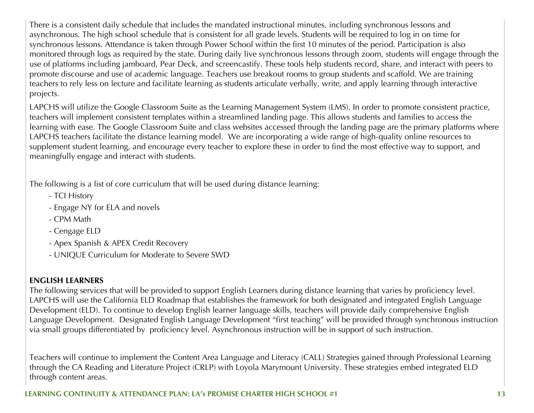There is a consistent daily schedule that includes the mandated instructional minutes, including synchronous lessons and asynchronous. The high school schedule that is consistent for all grade levels. Students will be required to log in on time for synchronous lessons. Attendance is taken through Power School within the first 10 minutes of the period. Participation is also monitored through logs as required by the state. During daily live synchronous lessons through zoom, students will engage through the use of platforms including jamboard, Pear Deck, and screencastify. These tools help students record, share, and interact with peers to promote discourse and use of academic language. Teachers use breakout rooms to group students and scaffold. We are training teachers to rely less on lecture and facilitate learning as students articulate verbally, write, and apply learning through interactive projects.

LAPCHS will utilize the Google Classroom Suite as the Learning Management System (LMS). In order to promote consistent practice, teachers will implement consistent templates within a streamlined landing page. This allows students and families to access the learning with ease. The Google Classroom Suite and class websites accessed through the landing page are the primary platforms where LAPCHS teachers facilitate the distance learning model. We are incorporating a wide range of high-quality online resources to supplement student learning, and encourage every teacher to explore these in order to find the most effective way to support, and meaningfully engage and interact with students.

The following is a list of core curriculum that will be used during distance learning:

- TCI History
- Engage NY for ELA and novels
- CPM Math
- Cengage ELD
- Apex Spanish & APEX Credit Recovery
- UNIQUE Curriculum for Moderate to Severe SWD

### **ENGLISH LEARNERS**

The following services that will be provided to support English Learners during distance learning that varies by proficiency level. LAPCHS will use the California ELD Roadmap that establishes the framework for both designated and integrated English Language Development (ELD). To continue to develop English learner language skills, teachers will provide daily comprehensive English Language Development. Designated English Language Development "first teaching" will be provided through synchronous instruction via small groups differentiated by proficiency level. Asynchronous instruction will be in support of such instruction.

Teachers will continue to implement the Content Area Language and Literacy (CALL) Strategies gained through Professional Learning through the CA Reading and Literature Project (CRLP) with Loyola Marymount University. These strategies embed integrated ELD through content areas.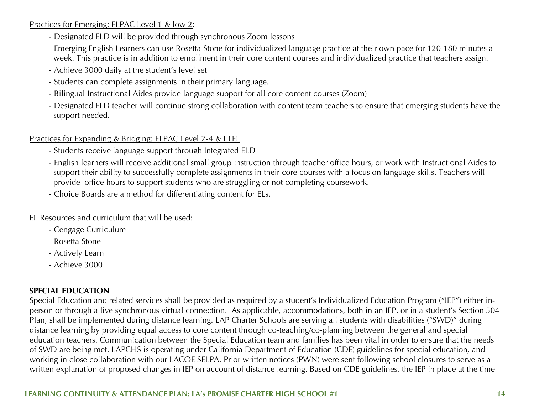Practices for Emerging: ELPAC Level 1 & low 2:

- Designated ELD will be provided through synchronous Zoom lessons
- Emerging English Learners can use Rosetta Stone for individualized language practice at their own pace for 120-180 minutes a week. This practice is in addition to enrollment in their core content courses and individualized practice that teachers assign.
- Achieve 3000 daily at the student's level set
- Students can complete assignments in their primary language.
- Bilingual Instructional Aides provide language support for all core content courses (Zoom)
- Designated ELD teacher will continue strong collaboration with content team teachers to ensure that emerging students have the support needed.

#### Practices for Expanding & Bridging: ELPAC Level 2-4 & LTEL

- Students receive language support through Integrated ELD
- English learners will receive additional small group instruction through teacher office hours, or work with Instructional Aides to support their ability to successfully complete assignments in their core courses with a focus on language skills. Teachers will provide office hours to support students who are struggling or not completing coursework.
- Choice Boards are a method for differentiating content for ELs.

EL Resources and curriculum that will be used:

- Cengage Curriculum
- Rosetta Stone
- Actively Learn
- Achieve 3000

### **SPECIAL EDUCATION**

Special Education and related services shall be provided as required by a student's Individualized Education Program ("IEP") either inperson or through a live synchronous virtual connection. As applicable, accommodations, both in an IEP, or in a student's Section 504 Plan, shall be implemented during distance learning. LAP Charter Schools are serving all students with disabilities ("SWD)" during distance learning by providing equal access to core content through co-teaching/co-planning between the general and special education teachers. Communication between the Special Education team and families has been vital in order to ensure that the needs of SWD are being met. LAPCHS is operating under California Department of Education (CDE) guidelines for special education, and working in close collaboration with our LACOE SELPA. Prior written notices (PWN) were sent following school closures to serve as a written explanation of proposed changes in IEP on account of distance learning. Based on CDE guidelines, the IEP in place at the time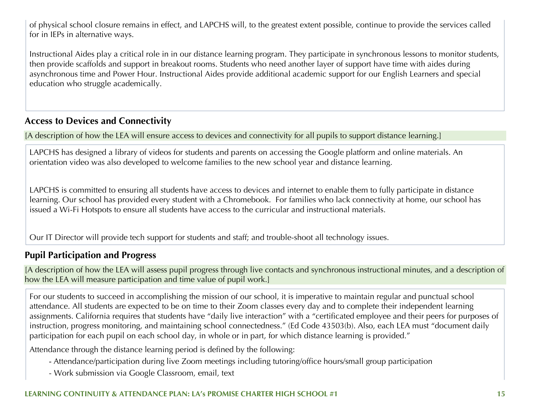of physical school closure remains in effect, and LAPCHS will, to the greatest extent possible, continue to provide the services called for in IEPs in alternative ways.

Instructional Aides play a critical role in in our distance learning program. They participate in synchronous lessons to monitor students, then provide scaffolds and support in breakout rooms. Students who need another layer of support have time with aides during asynchronous time and Power Hour. Instructional Aides provide additional academic support for our English Learners and special education who struggle academically.

## **Access to Devices and Connectivity**

[A description of how the LEA will ensure access to devices and connectivity for all pupils to support distance learning.]

LAPCHS has designed a library of videos for students and parents on accessing the Google platform and online materials. An orientation video was also developed to welcome families to the new school year and distance learning.

LAPCHS is committed to ensuring all students have access to devices and internet to enable them to fully participate in distance learning. Our school has provided every student with a Chromebook. For families who lack connectivity at home, our school has issued a Wi-Fi Hotspots to ensure all students have access to the curricular and instructional materials.

Our IT Director will provide tech support for students and staff; and trouble-shoot all technology issues.

### **Pupil Participation and Progress**

[A description of how the LEA will assess pupil progress through live contacts and synchronous instructional minutes, and a description of how the LEA will measure participation and time value of pupil work.]

For our students to succeed in accomplishing the mission of our school, it is imperative to maintain regular and punctual school attendance. All students are expected to be on time to their Zoom classes every day and to complete their independent learning assignments. California requires that students have "daily live interaction" with a "certificated employee and their peers for purposes of instruction, progress monitoring, and maintaining school connectedness." (Ed Code 43503(b). Also, each LEA must "document daily participation for each pupil on each school day, in whole or in part, for which distance learning is provided."

Attendance through the distance learning period is defined by the following:

- Attendance/participation during live Zoom meetings including tutoring/office hours/small group participation
- Work submission via Google Classroom, email, text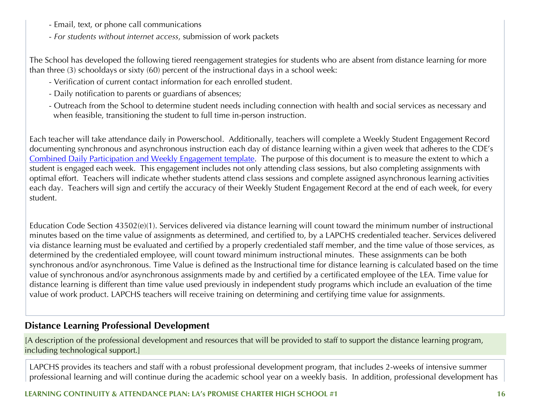- Email, text, or phone call communications
- *For students without internet access*, submission of work packets

The School has developed the following tiered reengagement strategies for students who are absent from distance learning for more than three (3) schooldays or sixty (60) percent of the instructional days in a school week:

- Verification of current contact information for each enrolled student.
- Daily notification to parents or guardians of absences;
- Outreach from the School to determine student needs including connection with health and social services as necessary and when feasible, transitioning the student to full time in-person instruction.

Each teacher will take attendance daily in Powerschool. Additionally, teachers will complete a Weekly Student Engagement Record documenting synchronous and asynchronous instruction each day of distance learning within a given week that adheres to the CDE's Combined Daily Participation and Weekly Engagement template. The purpose of this document is to measure the extent to which a student is engaged each week. This engagement includes not only attending class sessions, but also completing assignments with optimal effort. Teachers will indicate whether students attend class sessions and complete assigned asynchronous learning activities each day. Teachers will sign and certify the accuracy of their Weekly Student Engagement Record at the end of each week, for every student.

Education Code Section 43502(e)(1). Services delivered via distance learning will count toward the minimum number of instructional minutes based on the time value of assignments as determined, and certified to, by a LAPCHS credentialed teacher. Services delivered via distance learning must be evaluated and certified by a properly credentialed staff member, and the time value of those services, as determined by the credentialed employee, will count toward minimum instructional minutes. These assignments can be both synchronous and/or asynchronous. Time Value is defined as the Instructional time for distance learning is calculated based on the time value of synchronous and/or asynchronous assignments made by and certified by a certificated employee of the LEA. Time value for distance learning is different than time value used previously in independent study programs which include an evaluation of the time value of work product. LAPCHS teachers will receive training on determining and certifying time value for assignments.

## **Distance Learning Professional Development**

[A description of the professional development and resources that will be provided to staff to support the distance learning program, including technological support.]

LAPCHS provides its teachers and staff with a robust professional development program, that includes 2-weeks of intensive summer professional learning and will continue during the academic school year on a weekly basis. In addition, professional development has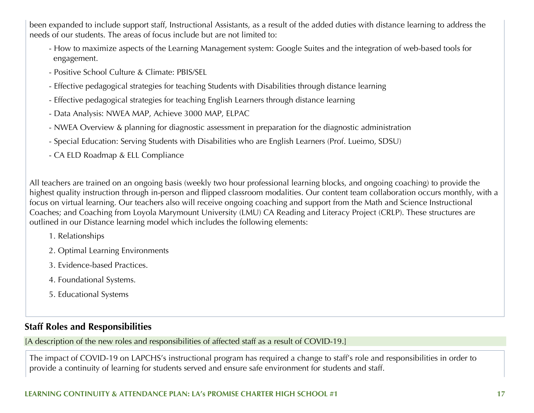been expanded to include support staff, Instructional Assistants, as a result of the added duties with distance learning to address the needs of our students. The areas of focus include but are not limited to:

- How to maximize aspects of the Learning Management system: Google Suites and the integration of web-based tools for engagement.
- Positive School Culture & Climate: PBIS/SEL
- Effective pedagogical strategies for teaching Students with Disabilities through distance learning
- Effective pedagogical strategies for teaching English Learners through distance learning
- Data Analysis: NWEA MAP, Achieve 3000 MAP, ELPAC
- NWEA Overview & planning for diagnostic assessment in preparation for the diagnostic administration
- Special Education: Serving Students with Disabilities who are English Learners (Prof. Lueimo, SDSU)
- CA ELD Roadmap & ELL Compliance

All teachers are trained on an ongoing basis (weekly two hour professional learning blocks, and ongoing coaching) to provide the highest quality instruction through in-person and flipped classroom modalities. Our content team collaboration occurs monthly, with a focus on virtual learning. Our teachers also will receive ongoing coaching and support from the Math and Science Instructional Coaches; and Coaching from Loyola Marymount University (LMU) CA Reading and Literacy Project (CRLP). These structures are outlined in our Distance learning model which includes the following elements:

- 1. Relationships
- 2. Optimal Learning Environments
- 3. Evidence-based Practices.
- 4. Foundational Systems.
- 5. Educational Systems

### **Staff Roles and Responsibilities**

[A description of the new roles and responsibilities of affected staff as a result of COVID-19.]

The impact of COVID-19 on LAPCHS's instructional program has required a change to staff's role and responsibilities in order to provide a continuity of learning for students served and ensure safe environment for students and staff.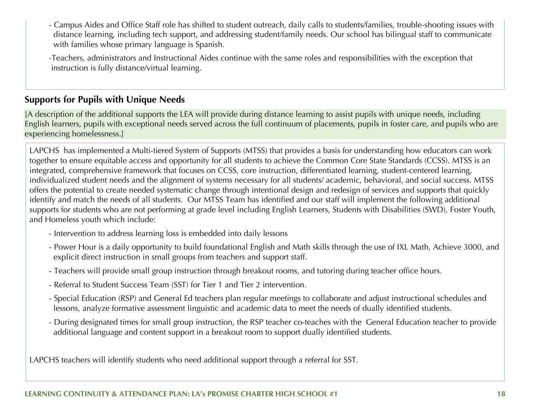- Campus Aides and Office Staff role has shifted to student outreach, daily calls to students/families, trouble-shooting issues with distance learning, including tech support, and addressing student/family needs. Our school has bilingual staff to communicate with families whose primary language is Spanish.

-Teachers, administrators and Instructional Aides continue with the same roles and responsibilities with the exception that instruction is fully distance/virtual learning.

### **Supports for Pupils with Unique Needs**

[A description of the additional supports the LEA will provide during distance learning to assist pupils with unique needs, including English learners, pupils with exceptional needs served across the full continuum of placements, pupils in foster care, and pupils who are experiencing homelessness.]

LAPCHS has implemented a Multi-tiered System of Supports (MTSS) that provides a basis for understanding how educators can work together to ensure equitable access and opportunity for all students to achieve the Common Core State Standards (CCSS). MTSS is an integrated, comprehensive framework that focuses on CCSS, core instruction, differentiated learning, student-centered learning, individualized student needs and the alignment of systems necessary for all students/ academic, behavioral, and social success. MTSS offers the potential to create needed systematic change through intentional design and redesign of services and supports that quickly identify and match the needs of all students. Our MTSS Team has identified and our staff will implement the following additional supports for students who are not performing at grade level including English Learners, Students with Disabilities (SWD), Foster Youth, and Homeless youth which include:

- Intervention to address learning loss is embedded into daily lessons
- Power Hour is a daily opportunity to build foundational English and Math skills through the use of IXL Math, Achieve 3000, and explicit direct instruction in small groups from teachers and support staff.
- Teachers will provide small group instruction through breakout rooms, and tutoring during teacher office hours.
- Referral to Student Success Team (SST) for Tier 1 and Tier 2 intervention.
- Special Education (RSP) and General Ed teachers plan regular meetings to collaborate and adjust instructional schedules and lessons, analyze formative assessment linguistic and academic data to meet the needs of dually identified students.
- During designated times for small group instruction, the RSP teacher co-teaches with the General Education teacher to provide additional language and content support in a breakout room to support dually identified students.

LAPCHS teachers will identify students who need additional support through a referral for SST.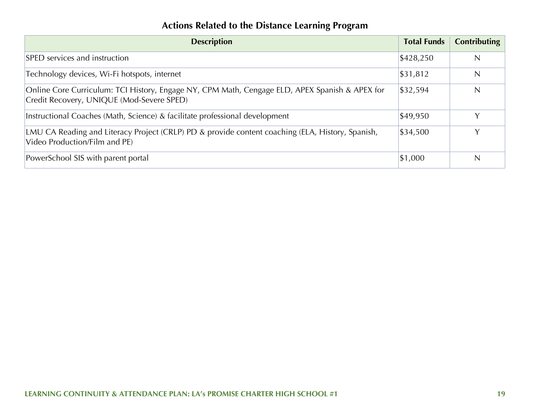## **Actions Related to the Distance Learning Program**

| <b>Description</b>                                                                                                                          | <b>Total Funds</b> | <b>Contributing</b> |
|---------------------------------------------------------------------------------------------------------------------------------------------|--------------------|---------------------|
| SPED services and instruction                                                                                                               | \$428,250          | N                   |
| Technology devices, Wi-Fi hotspots, internet                                                                                                | \$31,812           | N                   |
| Online Core Curriculum: TCI History, Engage NY, CPM Math, Cengage ELD, APEX Spanish & APEX for<br>Credit Recovery, UNIQUE (Mod-Severe SPED) | \$32,594           | N                   |
| Instructional Coaches (Math, Science) & facilitate professional development                                                                 | \$49,950           | Y                   |
| LMU CA Reading and Literacy Project (CRLP) PD & provide content coaching (ELA, History, Spanish,<br>Video Production/Film and PE)           | \$34,500           | Y                   |
| PowerSchool SIS with parent portal                                                                                                          | \$1,000            | N                   |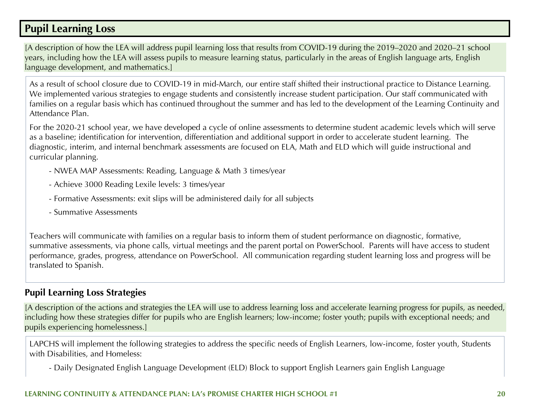## **Pupil Learning Loss**

[A description of how the LEA will address pupil learning loss that results from COVID-19 during the 2019–2020 and 2020–21 school years, including how the LEA will assess pupils to measure learning status, particularly in the areas of English language arts, English language development, and mathematics.]

As a result of school closure due to COVID-19 in mid-March, our entire staff shifted their instructional practice to Distance Learning. We implemented various strategies to engage students and consistently increase student participation. Our staff communicated with families on a regular basis which has continued throughout the summer and has led to the development of the Learning Continuity and Attendance Plan.

For the 2020-21 school year, we have developed a cycle of online assessments to determine student academic levels which will serve as a baseline; identification for intervention, differentiation and additional support in order to accelerate student learning. The diagnostic, interim, and internal benchmark assessments are focused on ELA, Math and ELD which will guide instructional and curricular planning.

- NWEA MAP Assessments: Reading, Language & Math 3 times/year
- Achieve 3000 Reading Lexile levels: 3 times/year
- Formative Assessments: exit slips will be administered daily for all subjects
- Summative Assessments

Teachers will communicate with families on a regular basis to inform them of student performance on diagnostic, formative, summative assessments, via phone calls, virtual meetings and the parent portal on PowerSchool. Parents will have access to student performance, grades, progress, attendance on PowerSchool. All communication regarding student learning loss and progress will be translated to Spanish.

### **Pupil Learning Loss Strategies**

[A description of the actions and strategies the LEA will use to address learning loss and accelerate learning progress for pupils, as needed, including how these strategies differ for pupils who are English learners; low-income; foster youth; pupils with exceptional needs; and pupils experiencing homelessness.]

LAPCHS will implement the following strategies to address the specific needs of English Learners, low-income, foster youth, Students with Disabilities, and Homeless:

- Daily Designated English Language Development (ELD) Block to support English Learners gain English Language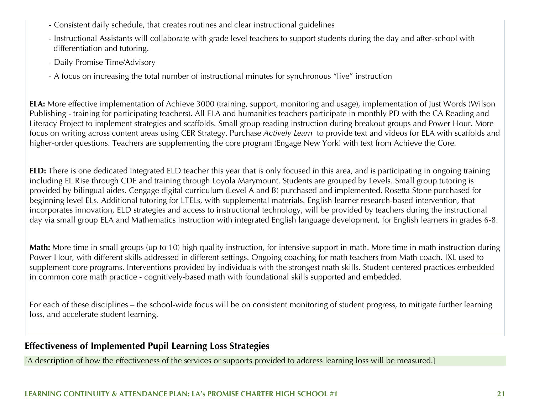- Consistent daily schedule, that creates routines and clear instructional guidelines
- Instructional Assistants will collaborate with grade level teachers to support students during the day and after-school with differentiation and tutoring.
- Daily Promise Time/Advisory
- A focus on increasing the total number of instructional minutes for synchronous "live" instruction

**ELA:** More effective implementation of Achieve 3000 (training, support, monitoring and usage), implementation of Just Words (Wilson Publishing - training for participating teachers). All ELA and humanities teachers participate in monthly PD with the CA Reading and Literacy Project to implement strategies and scaffolds. Small group reading instruction during breakout groups and Power Hour. More focus on writing across content areas using CER Strategy. Purchase *Actively Learn* to provide text and videos for ELA with scaffolds and higher-order questions. Teachers are supplementing the core program (Engage New York) with text from Achieve the Core.

**ELD:** There is one dedicated Integrated ELD teacher this year that is only focused in this area, and is participating in ongoing training including EL Rise through CDE and training through Loyola Marymount. Students are grouped by Levels. Small group tutoring is provided by bilingual aides. Cengage digital curriculum (Level A and B) purchased and implemented. Rosetta Stone purchased for beginning level ELs. Additional tutoring for LTELs, with supplemental materials. English learner research-based intervention, that incorporates innovation, ELD strategies and access to instructional technology, will be provided by teachers during the instructional day via small group ELA and Mathematics instruction with integrated English language development, for English learners in grades 6-8.

**Math:** More time in small groups (up to 10) high quality instruction, for intensive support in math. More time in math instruction during Power Hour, with different skills addressed in different settings. Ongoing coaching for math teachers from Math coach. IXL used to supplement core programs. Interventions provided by individuals with the strongest math skills. Student centered practices embedded in common core math practice - cognitively-based math with foundational skills supported and embedded.

For each of these disciplines – the school-wide focus will be on consistent monitoring of student progress, to mitigate further learning loss, and accelerate student learning.

## **Effectiveness of Implemented Pupil Learning Loss Strategies**

[A description of how the effectiveness of the services or supports provided to address learning loss will be measured.]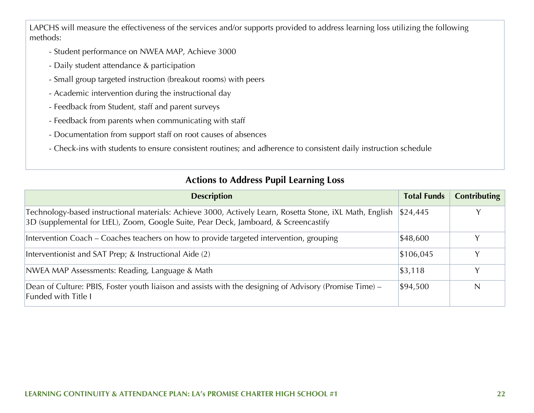LAPCHS will measure the effectiveness of the services and/or supports provided to address learning loss utilizing the following methods:

- Student performance on NWEA MAP, Achieve 3000
- Daily student attendance & participation
- Small group targeted instruction (breakout rooms) with peers
- Academic intervention during the instructional day
- Feedback from Student, staff and parent surveys
- Feedback from parents when communicating with staff
- Documentation from support staff on root causes of absences
- Check-ins with students to ensure consistent routines; and adherence to consistent daily instruction schedule

### **Actions to Address Pupil Learning Loss**

| <b>Description</b>                                                                                                                                                                               | <b>Total Funds</b> | <b>Contributing</b> |
|--------------------------------------------------------------------------------------------------------------------------------------------------------------------------------------------------|--------------------|---------------------|
| Technology-based instructional materials: Achieve 3000, Actively Learn, Rosetta Stone, iXL Math, English<br>3D (supplemental for LtEL), Zoom, Google Suite, Pear Deck, Jamboard, & Screencastify | \$24,445           |                     |
| Intervention Coach – Coaches teachers on how to provide targeted intervention, grouping                                                                                                          | \$48,600           |                     |
| Interventionist and SAT Prep; & Instructional Aide (2)                                                                                                                                           | \$106,045          |                     |
| NWEA MAP Assessments: Reading, Language & Math                                                                                                                                                   | \$3,118            | Y                   |
| Dean of Culture: PBIS, Foster youth liaison and assists with the designing of Advisory (Promise Time) –<br><b>Funded with Title I</b>                                                            | \$94,500           | N                   |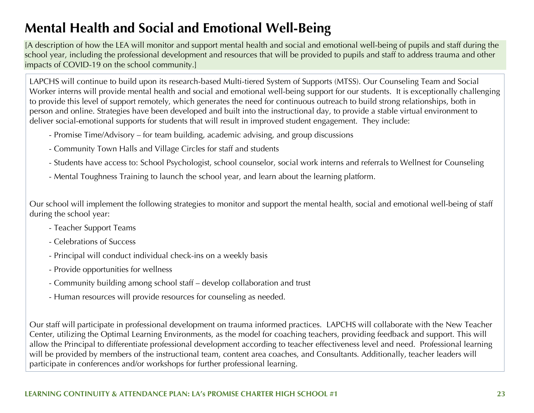## **Mental Health and Social and Emotional Well-Being**

[A description of how the LEA will monitor and support mental health and social and emotional well-being of pupils and staff during the school year, including the professional development and resources that will be provided to pupils and staff to address trauma and other impacts of COVID-19 on the school community.]

LAPCHS will continue to build upon its research-based Multi-tiered System of Supports (MTSS). Our Counseling Team and Social Worker interns will provide mental health and social and emotional well-being support for our students. It is exceptionally challenging to provide this level of support remotely, which generates the need for continuous outreach to build strong relationships, both in person and online. Strategies have been developed and built into the instructional day, to provide a stable virtual environment to deliver social-emotional supports for students that will result in improved student engagement. They include:

- Promise Time/Advisory for team building, academic advising, and group discussions
- Community Town Halls and Village Circles for staff and students
- Students have access to: School Psychologist, school counselor, social work interns and referrals to Wellnest for Counseling
- Mental Toughness Training to launch the school year, and learn about the learning platform.

Our school will implement the following strategies to monitor and support the mental health, social and emotional well-being of staff during the school year:

- Teacher Support Teams
- Celebrations of Success
- Principal will conduct individual check-ins on a weekly basis
- Provide opportunities for wellness
- Community building among school staff develop collaboration and trust
- Human resources will provide resources for counseling as needed.

Our staff will participate in professional development on trauma informed practices. LAPCHS will collaborate with the New Teacher Center, utilizing the Optimal Learning Environments, as the model for coaching teachers, providing feedback and support. This will allow the Principal to differentiate professional development according to teacher effectiveness level and need. Professional learning will be provided by members of the instructional team, content area coaches, and Consultants. Additionally, teacher leaders will participate in conferences and/or workshops for further professional learning.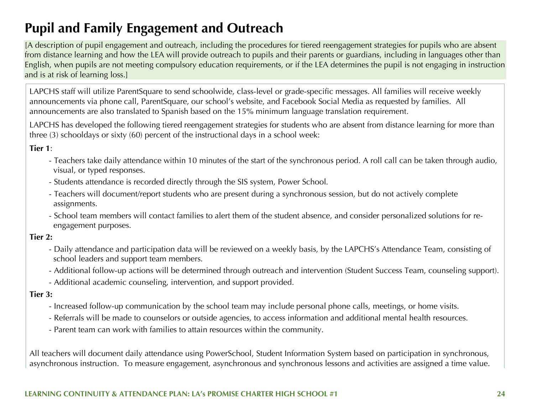## **Pupil and Family Engagement and Outreach**

[A description of pupil engagement and outreach, including the procedures for tiered reengagement strategies for pupils who are absent from distance learning and how the LEA will provide outreach to pupils and their parents or guardians, including in languages other than English, when pupils are not meeting compulsory education requirements, or if the LEA determines the pupil is not engaging in instruction and is at risk of learning loss.]

LAPCHS staff will utilize ParentSquare to send schoolwide, class-level or grade-specific messages. All families will receive weekly announcements via phone call, ParentSquare, our school's website, and Facebook Social Media as requested by families. All announcements are also translated to Spanish based on the 15% minimum language translation requirement.

LAPCHS has developed the following tiered reengagement strategies for students who are absent from distance learning for more than three (3) schooldays or sixty (60) percent of the instructional days in a school week:

#### **Tier 1**:

- Teachers take daily attendance within 10 minutes of the start of the synchronous period. A roll call can be taken through audio, visual, or typed responses.
- Students attendance is recorded directly through the SIS system, Power School.
- Teachers will document/report students who are present during a synchronous session, but do not actively complete assignments.
- School team members will contact families to alert them of the student absence, and consider personalized solutions for re engagement purposes.

#### **Tier 2:**

- Daily attendance and participation data will be reviewed on a weekly basis, by the LAPCHS's Attendance Team, consisting of school leaders and support team members.
- Additional follow-up actions will be determined through outreach and intervention (Student Success Team, counseling support).
- Additional academic counseling, intervention, and support provided.

#### **Tier 3:**

- Increased follow-up communication by the school team may include personal phone calls, meetings, or home visits.
- Referrals will be made to counselors or outside agencies, to access information and additional mental health resources.
- Parent team can work with families to attain resources within the community.

All teachers will document daily attendance using PowerSchool, Student Information System based on participation in synchronous, asynchronous instruction. To measure engagement, asynchronous and synchronous lessons and activities are assigned a time value.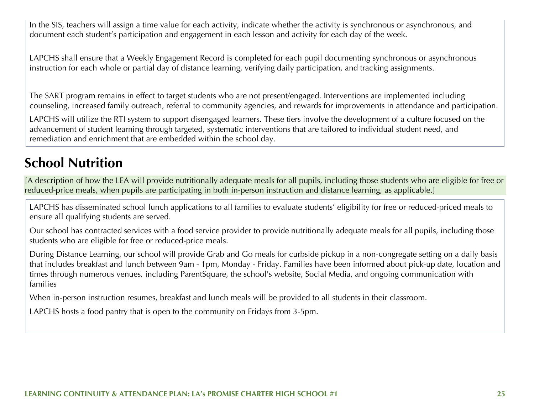In the SIS, teachers will assign a time value for each activity, indicate whether the activity is synchronous or asynchronous, and document each student's participation and engagement in each lesson and activity for each day of the week.

LAPCHS shall ensure that a Weekly Engagement Record is completed for each pupil documenting synchronous or asynchronous instruction for each whole or partial day of distance learning, verifying daily participation, and tracking assignments.

The SART program remains in effect to target students who are not present/engaged. Interventions are implemented including counseling, increased family outreach, referral to community agencies, and rewards for improvements in attendance and participation.

LAPCHS will utilize the RTI system to support disengaged learners. These tiers involve the development of a culture focused on the advancement of student learning through targeted, systematic interventions that are tailored to individual student need, and remediation and enrichment that are embedded within the school day.

## **School Nutrition**

[A description of how the LEA will provide nutritionally adequate meals for all pupils, including those students who are eligible for free or reduced-price meals, when pupils are participating in both in-person instruction and distance learning, as applicable.]

LAPCHS has disseminated school lunch applications to all families to evaluate students' eligibility for free or reduced-priced meals to ensure all qualifying students are served.

Our school has contracted services with a food service provider to provide nutritionally adequate meals for all pupils, including those students who are eligible for free or reduced-price meals.

During Distance Learning, our school will provide Grab and Go meals for curbside pickup in a non-congregate setting on a daily basis that includes breakfast and lunch between 9am - 1pm, Monday - Friday. Families have been informed about pick-up date, location and times through numerous venues, including ParentSquare, the school's website, Social Media, and ongoing communication with families

When in-person instruction resumes, breakfast and lunch meals will be provided to all students in their classroom.

LAPCHS hosts a food pantry that is open to the community on Fridays from 3-5pm.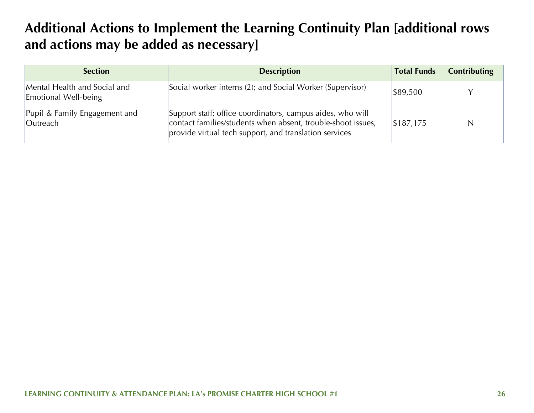## **Additional Actions to Implement the Learning Continuity Plan [additional rows and actions may be added as necessary]**

| <b>Section</b>                                       | <b>Description</b>                                                                                                                                                                   | <b>Total Funds</b> | <b>Contributing</b> |
|------------------------------------------------------|--------------------------------------------------------------------------------------------------------------------------------------------------------------------------------------|--------------------|---------------------|
| Mental Health and Social and<br>Emotional Well-being | Social worker interns (2); and Social Worker (Supervisor)                                                                                                                            | \$89,500           |                     |
| Pupil & Family Engagement and<br>Outreach            | Support staff: office coordinators, campus aides, who will<br>contact families/students when absent, trouble-shoot issues,<br>provide virtual tech support, and translation services | \$187,175          | N                   |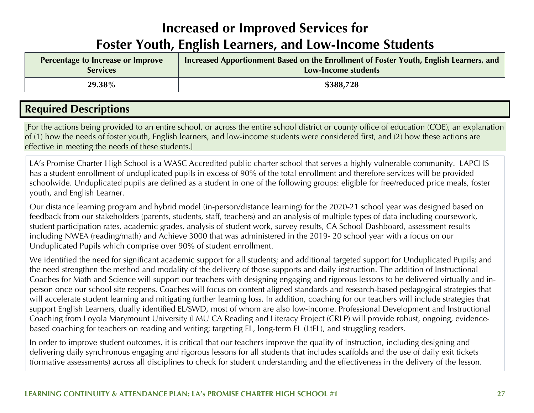## **Increased or Improved Services for Foster Youth, English Learners, and Low-Income Students**

| Percentage to Increase or Improve | Increased Apportionment Based on the Enrollment of Foster Youth, English Learners, and |
|-----------------------------------|----------------------------------------------------------------------------------------|
| <b>Services</b>                   | Low-Income students                                                                    |
| 29.38%                            | \$388,728                                                                              |

## **Required Descriptions**

[For the actions being provided to an entire school, or across the entire school district or county office of education (COE), an explanation of (1) how the needs of foster youth, English learners, and low-income students were considered first, and (2) how these actions are effective in meeting the needs of these students.]

LA's Promise Charter High School is a WASC Accredited public charter school that serves a highly vulnerable community. LAPCHS has a student enrollment of unduplicated pupils in excess of 90% of the total enrollment and therefore services will be provided schoolwide. Unduplicated pupils are defined as a student in one of the following groups: eligible for free/reduced price meals, foster youth, and English Learner.

Our distance learning program and hybrid model (in-person/distance learning) for the 2020-21 school year was designed based on feedback from our stakeholders (parents, students, staff, teachers) and an analysis of multiple types of data including coursework, student participation rates, academic grades, analysis of student work, survey results, CA School Dashboard, assessment results including NWEA (reading/math) and Achieve 3000 that was administered in the 2019- 20 school year with a focus on our Unduplicated Pupils which comprise over 90% of student enrollment.

We identified the need for significant academic support for all students; and additional targeted support for Unduplicated Pupils; and the need strengthen the method and modality of the delivery of those supports and daily instruction. The addition of Instructional Coaches for Math and Science will support our teachers with designing engaging and rigorous lessons to be delivered virtually and inperson once our school site reopens. Coaches will focus on content aligned standards and research-based pedagogical strategies that will accelerate student learning and mitigating further learning loss. In addition, coaching for our teachers will include strategies that support English Learners, dually identified EL/SWD, most of whom are also low-income. Professional Development and Instructional Coaching from Loyola Marymount University (LMU CA Reading and Literacy Project (CRLP) will provide robust, ongoing, evidencebased coaching for teachers on reading and writing; targeting EL, long-term EL (LtEL), and struggling readers.

In order to improve student outcomes, it is critical that our teachers improve the quality of instruction, including designing and delivering daily synchronous engaging and rigorous lessons for all students that includes scaffolds and the use of daily exit tickets (formative assessments) across all disciplines to check for student understanding and the effectiveness in the delivery of the lesson.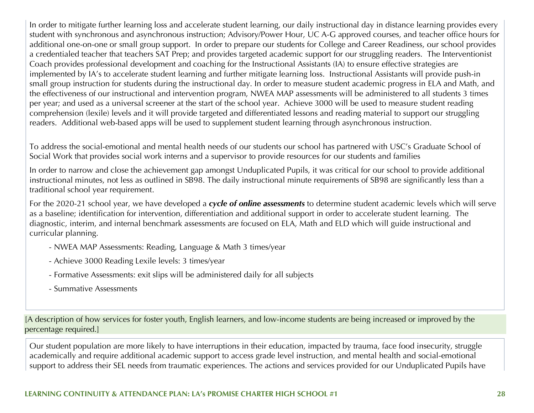In order to mitigate further learning loss and accelerate student learning, our daily instructional day in distance learning provides every student with synchronous and asynchronous instruction; Advisory/Power Hour, UC A-G approved courses, and teacher office hours for additional one-on-one or small group support. In order to prepare our students for College and Career Readiness, our school provides a credentialed teacher that teachers SAT Prep; and provides targeted academic support for our struggling readers. The Interventionist Coach provides professional development and coaching for the Instructional Assistants (IA) to ensure effective strategies are implemented by IA's to accelerate student learning and further mitigate learning loss. Instructional Assistants will provide push-in small group instruction for students during the instructional day. In order to measure student academic progress in ELA and Math, and the effectiveness of our instructional and intervention program, NWEA MAP assessments will be administered to all students 3 times per year; and used as a universal screener at the start of the school year. Achieve 3000 will be used to measure student reading comprehension (lexile) levels and it will provide targeted and differentiated lessons and reading material to support our struggling readers. Additional web-based apps will be used to supplement student learning through asynchronous instruction.

To address the social-emotional and mental health needs of our students our school has partnered with USC's Graduate School of Social Work that provides social work interns and a supervisor to provide resources for our students and families

In order to narrow and close the achievement gap amongst Unduplicated Pupils, it was critical for our school to provide additional instructional minutes, not less as outlined in SB98. The daily instructional minute requirements of SB98 are significantly less than a traditional school year requirement.

For the 2020-21 school year, we have developed a *cycle of online assessments* to determine student academic levels which will serve as a baseline; identification for intervention, differentiation and additional support in order to accelerate student learning. The diagnostic, interim, and internal benchmark assessments are focused on ELA, Math and ELD which will guide instructional and curricular planning.

- NWEA MAP Assessments: Reading, Language & Math 3 times/year
- Achieve 3000 Reading Lexile levels: 3 times/year
- Formative Assessments: exit slips will be administered daily for all subjects
- Summative Assessments

[A description of how services for foster youth, English learners, and low-income students are being increased or improved by the percentage required.]

Our student population are more likely to have interruptions in their education, impacted by trauma, face food insecurity, struggle academically and require additional academic support to access grade level instruction, and mental health and social-emotional support to address their SEL needs from traumatic experiences. The actions and services provided for our Unduplicated Pupils have